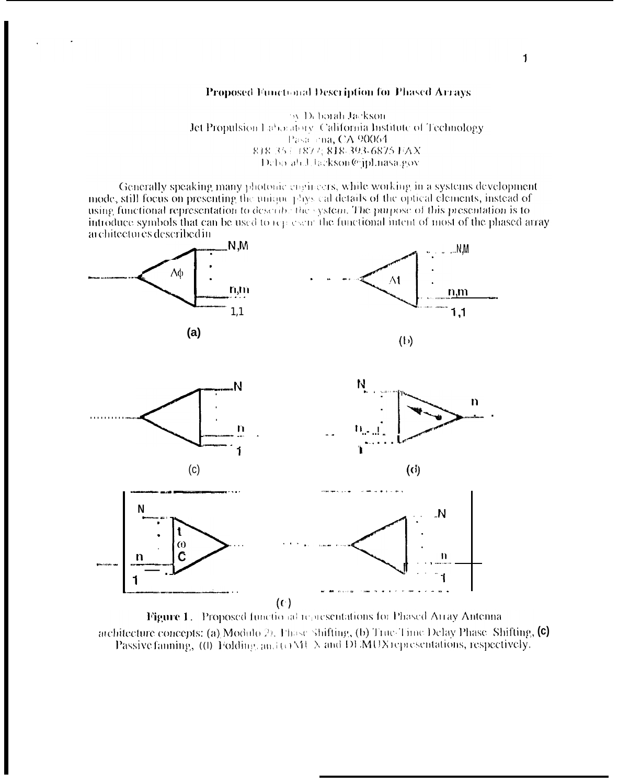## Proposed Functional Description for Phased Arrays

by Deborah Jackson. Jet Propulsion Laboratory. California Institute of Technology Pasa ena, CA 90064 818 35 + 1877; 818-393-6875 FAX Debo ah.J.Jackson@ipLnasa.gov

Generally speaking many photonic engineers, while working in a systems development mode, still focus on presenting the unique plays cal details of the optical elements, instead of using functional representation to describe the system. The purpose of this presentation is to introduce symbols that can be used to represent the functional intent of most of the phased array architectures described in



Figure 1. Proposed functional representations for Phased Array Antenna atchitecture concepts: (a) Modulo 2). Thuse Shifting, (b) True Time Delay Phase Shifting,  $(c)$ Passive fanning, (0) Folding, and (0 MU  $\lambda$  and DEMUX representations, respectively.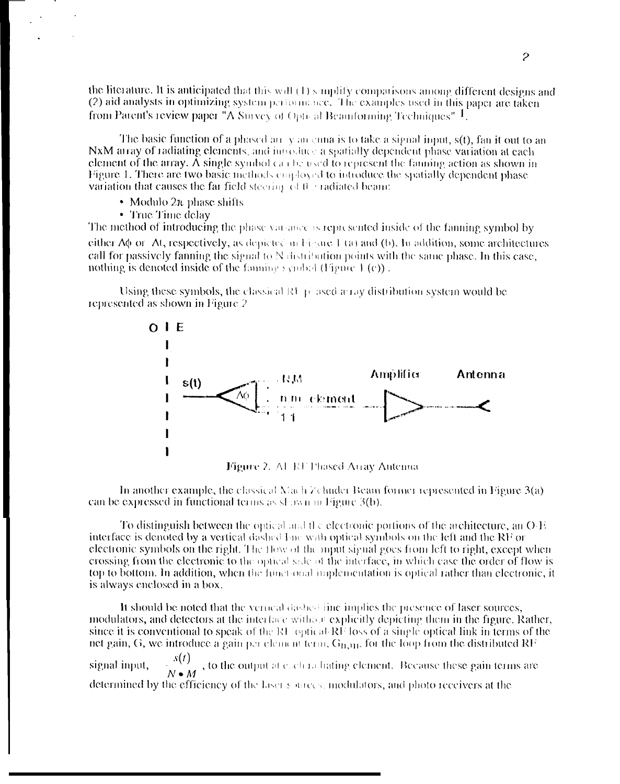the literature. It is anticipated that this will  $(1)$  simplify comparisons among different designs and (2) aid analysts in optimizing system performance. The examples used in this paper are taken from Patent's review paper "A Survey of Optical Beamforming Techniques"  $1$ .

The basic function of a phased arrivan ennal is to take a signal input,  $s(t)$ , fan it out to an NxM atray of radiating elements, and introduce a spatially dependent phase variation at each element of the array. A single symbol can be used to represent the faming action as shown in Figure 1. There are two basic methods condoved to introduce the spatially dependent phase variation that causes the far field steering of the radiated beam:

- Modulo  $2\pi$  phase shifts
- True Time delay

The method of introducing the phase variance is represented inside of the fanning symbol by either  $\Delta\phi$  or  $\Delta t$ , respectively, as depicted in Figure 1 (a) and (b). In addition, some architectures call for passively fanning the signal to N distribution points with the same phase. In this case, nothing is denoted inside of the fanning symbol (Figure  $\pm$  (c)).

Using these symbols, the classical RF  $\vec{p}$  ased a ray distribution system would be represented as shown in Figure 2





In another example, the classical Nach Zehnder Beam former represented in Figure  $3(a)$ can be expressed in functional terms as shown in Figure 3(b).

To distinguish between the optical and the electronic portions of the architecture, an  $O-E$ interface is denoted by a vertical dashed line with optical symbols on the left and the RF or electronic symbols on the right. The flow of the mout signal goes from left to right, except when crossing from the electronic to the optical side of the interface, in which case the order of flow is top to bottom. In addition, when the functional implementation is optical rather than electronic, it is always enclosed in a box.

It should be noted that the vertical dashed line implies the presence of laser sources, modulators, and detectors at the interface without explicitly depicting them in the figure. Rather, since it is conventional to speak of the RF optical RF loss of a single optical link in terms of the net gain, G, we introduce a gain per element term,  $G_{H,HI}$ , for the loop from the distributed RF  $\frac{s(t)}{N \bullet M}$ , to the output at each radiating element. Because these gain terms are signal input, determined by the efficiency of the laser sources, modulators, and photo receivers at the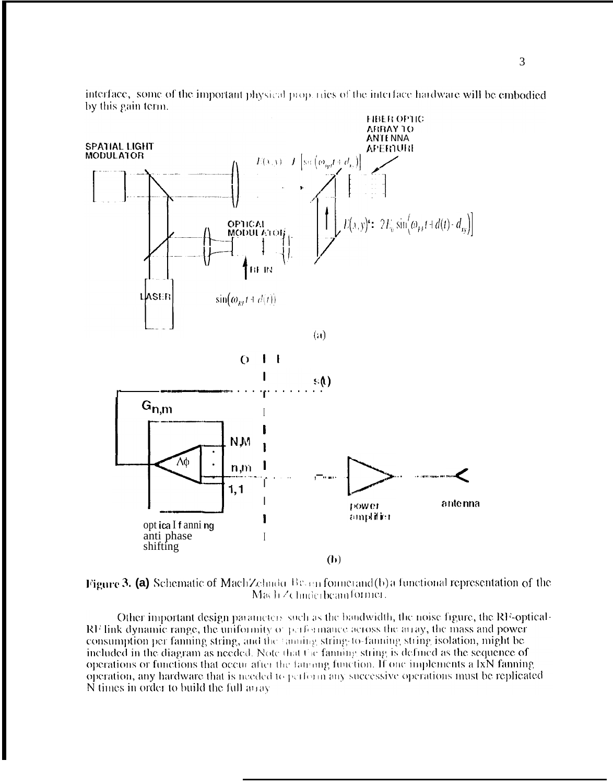

interface, some of the important physical properties of the interface hardware will be embodied by this gain term.

Figure 3. (a) Schematic of MachZehnder Besan former and (b) a functional representation of the Mach Zchnderbeamformer.

Other important design parameters such as the bandwidth, the noise figure, the RF-optical- $\mathbb{R}^1$  link dynamic range, the uniformity of performance across the array, the mass and power consumption per fanning string, and the familiar string to familiar string isolation, might be included in the diagram as needed. Note that the familiar string is defined as the sequence of operations or functions that occur after the famong function. If one implements a IxN fanning operation, any hardware that is needed to perform any successive operations must be replicated N times in order to build the full away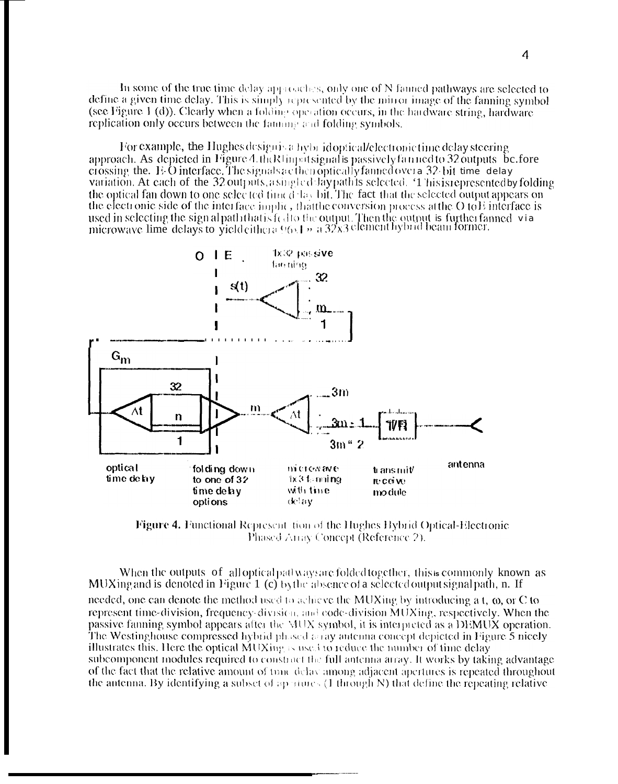In some of the true time delay approaches, only one of N fanned pathways are selected to define a given time delay. This is simply represented by the mirror image of the fanning symbol (see Figure 1 (d)). Clearly when a folding operation occurs, in the hardware string, hardware replication only occurs between the familiar and folding symbols.

For example, the Hughes designing hybrid optical/electronic time delay steering approach. As depicted in Figure 4.th Rlinputsignal is passively fan ned to 32 outputs be fore crossing the. E-O interface. The signals acther optically fanned over a 32-bit time delay variation. At each of the 32 outputs, asingled laypath is selected. '1 his is represented by folding the optical fan down to one selected time delay bit. The fact that the selected output appears on the electronic side of the interface implic, that the conversion process at the  $O$  to  $E$  interface is used in selecting the sign alpath that is fed to the output. Then the output is further fanned via<br>microwave lime delays to yield eithera  $96.1 + 32x3$  element hybrid beam former.



**Figure 4. Functional Represent tion of the Hughes Hybrid Optical-Electronic** Phased Array Concept (Reference 2).

When the outputs of alloptical pathways are folded together, this is commonly known as MUXing and is denoted in Figure 1 (c) by the absence of a selected output signal path, n. If needed, one can denote the method used to achieve the MUXing by introducing a t,  $\omega$ , or C to represent time-division, frequency-division, and code-division  $\overline{MUX}$  ing, respectively. When the passive fanning symbol appears after the MUX symbol, it is interpreted as a DEMUX operation. The Westinghouse compressed hybrid phased a ray antenna concept depicted in Figure  $\bar{5}$  nicely illustrates this. Here the optical MUXing is used to reduce the number of time delay subcomponent modules required to construct the full antenna array. It works by taking advantage of the fact that the relative amount of tune delay among adjacent apertures is repeated throughout the antenna. By identifying a subset of apertures (1 through N) that define the repeating relative